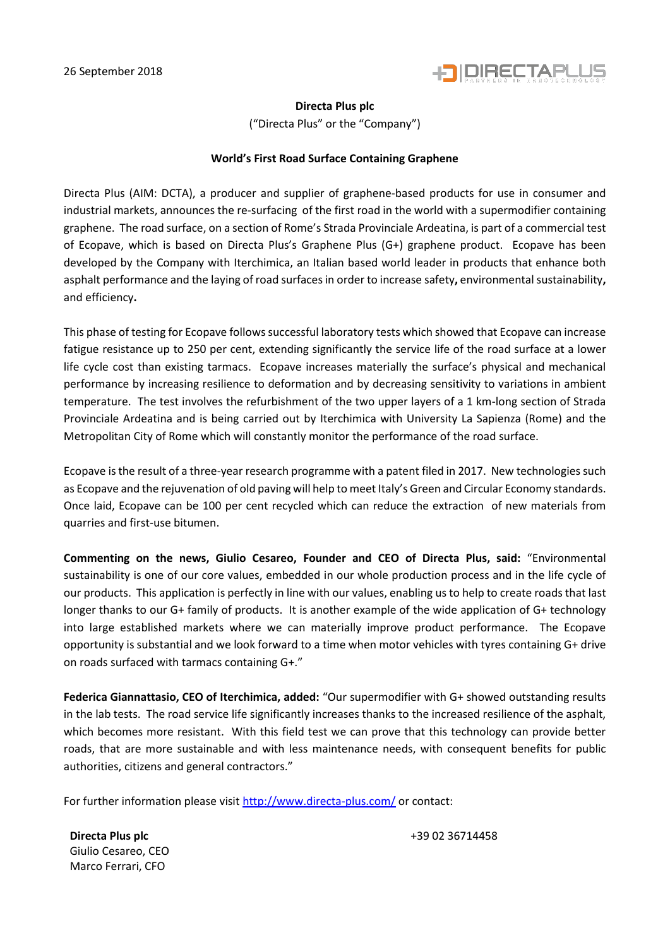

## **Directa Plus plc**

("Directa Plus" or the "Company")

## **World's First Road Surface Containing Graphene**

Directa Plus (AIM: DCTA), a producer and supplier of graphene-based products for use in consumer and industrial markets, announces the re-surfacing of the first road in the world with a supermodifier containing graphene. The road surface, on a section of Rome's Strada Provinciale Ardeatina, is part of a commercial test of Ecopave, which is based on Directa Plus's Graphene Plus (G+) graphene product. Ecopave has been developed by the Company with Iterchimica, an Italian based world leader in products that enhance both asphalt performance and the laying of road surfacesin order to increase safety**,** environmental sustainability**,**  and efficiency**.**

This phase of testing for Ecopave follows successful laboratory tests which showed that Ecopave can increase fatigue resistance up to 250 per cent, extending significantly the service life of the road surface at a lower life cycle cost than existing tarmacs. Ecopave increases materially the surface's physical and mechanical performance by increasing resilience to deformation and by decreasing sensitivity to variations in ambient temperature. The test involves the refurbishment of the two upper layers of a 1 km-long section of Strada Provinciale Ardeatina and is being carried out by Iterchimica with University La Sapienza (Rome) and the Metropolitan City of Rome which will constantly monitor the performance of the road surface.

Ecopave is the result of a three-year research programme with a patent filed in 2017. New technologies such as Ecopave and the rejuvenation of old paving will help to meet Italy's Green and Circular Economy standards. Once laid, Ecopave can be 100 per cent recycled which can reduce the extraction of new materials from quarries and first-use bitumen.

**Commenting on the news, Giulio Cesareo, Founder and CEO of Directa Plus, said:** "Environmental sustainability is one of our core values, embedded in our whole production process and in the life cycle of our products. This application is perfectly in line with our values, enabling us to help to create roads that last longer thanks to our G+ family of products. It is another example of the wide application of G+ technology into large established markets where we can materially improve product performance. The Ecopave opportunity is substantial and we look forward to a time when motor vehicles with tyres containing G+ drive on roads surfaced with tarmacs containing G+."

**Federica Giannattasio, CEO of Iterchimica, added:** "Our supermodifier with G+ showed outstanding results in the lab tests. The road service life significantly increases thanks to the increased resilience of the asphalt, which becomes more resistant. With this field test we can prove that this technology can provide better roads, that are more sustainable and with less maintenance needs, with consequent benefits for public authorities, citizens and general contractors."

For further information please visi[t http://www.directa-plus.com/](http://www.directa-plus.com/) or contact:

**Directa Plus plc blue planets blue planets has a set of the set of the set of the set of the set of the set of the set of the set of the set of the set of the set of the set of the set of the set of the set of the s** Giulio Cesareo, CEO Marco Ferrari, CFO